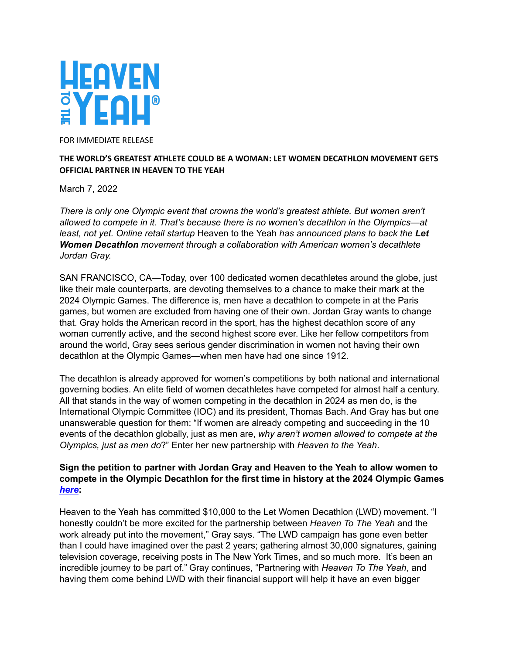

FOR IMMEDIATE RELEASE

## **THE WORLD'S GREATEST ATHLETE COULD BE A WOMAN: LET WOMEN DECATHLON MOVEMENT GETS OFFICIAL PARTNER IN HEAVEN TO THE YEAH**

March 7, 2022

*There is only one Olympic event that crowns the world's greatest athlete. But women aren't allowed to compete in it. That's because there is no women's decathlon in the Olympics—at least, not yet. Online retail startup* Heaven to the Yeah *has announced plans to back the Let Women Decathlon movement through a collaboration with American women's decathlete Jordan Gray.*

SAN FRANCISCO, CA—Today, over 100 dedicated women decathletes around the globe, just like their male counterparts, are devoting themselves to a chance to make their mark at the 2024 Olympic Games. The difference is, men have a decathlon to compete in at the Paris games, but women are excluded from having one of their own. Jordan Gray wants to change that. Gray holds the American record in the sport, has the highest decathlon score of any woman currently active, and the second highest score ever. Like her fellow competitors from around the world, Gray sees serious gender discrimination in women not having their own decathlon at the Olympic Games—when men have had one since 1912.

The decathlon is already approved for women's competitions by both national and international governing bodies. An elite field of women decathletes have competed for almost half a century. All that stands in the way of women competing in the decathlon in 2024 as men do, is the International Olympic Committee (IOC) and its president, Thomas Bach. And Gray has but one unanswerable question for them: "If women are already competing and succeeding in the 10 events of the decathlon globally, just as men are, *why aren't women allowed to compete at the Olympics, just as men do*?" Enter her new partnership with *Heaven to the Yeah*.

## **Sign the petition to partner with Jordan Gray and Heaven to the Yeah to allow women to compete in the Olympic Decathlon for the first time in history at the 2024 Olympic Games** *[here](https://heaventotheyeah.com/let-women-decathlon/)***:**

Heaven to the Yeah has committed \$10,000 to the Let Women Decathlon (LWD) movement. "I honestly couldn't be more excited for the partnership between *Heaven To The Yeah* and the work already put into the movement," Gray says. "The LWD campaign has gone even better than I could have imagined over the past 2 years; gathering almost 30,000 signatures, gaining television coverage, receiving posts in The New York Times, and so much more. It's been an incredible journey to be part of." Gray continues, "Partnering with *Heaven To The Yeah*, and having them come behind LWD with their financial support will help it have an even bigger